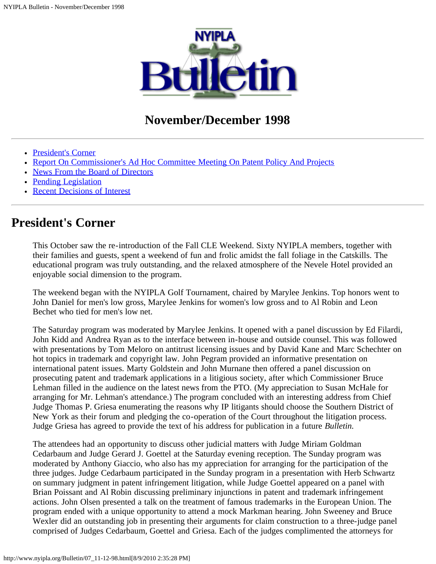

### **November/December 1998**

- [President's Corner](#page-0-0)
- [Report On Commissioner's Ad Hoc Committee Meeting On Patent Policy And Projects](#page-1-0)
- [News From the Board of Directors](#page-7-0)
- [Pending Legislation](#page-9-0)
- [Recent Decisions of Interest](#page-11-0)

### <span id="page-0-0"></span>**President's Corner**

This October saw the re-introduction of the Fall CLE Weekend. Sixty NYIPLA members, together with their families and guests, spent a weekend of fun and frolic amidst the fall foliage in the Catskills. The educational program was truly outstanding, and the relaxed atmosphere of the Nevele Hotel provided an enjoyable social dimension to the program.

The weekend began with the NYIPLA Golf Tournament, chaired by Marylee Jenkins. Top honors went to John Daniel for men's low gross, Marylee Jenkins for women's low gross and to Al Robin and Leon Bechet who tied for men's low net.

The Saturday program was moderated by Marylee Jenkins. It opened with a panel discussion by Ed Filardi, John Kidd and Andrea Ryan as to the interface between in-house and outside counsel. This was followed with presentations by Tom Meloro on antitrust licensing issues and by David Kane and Marc Schechter on hot topics in trademark and copyright law. John Pegram provided an informative presentation on international patent issues. Marty Goldstein and John Murnane then offered a panel discussion on prosecuting patent and trademark applications in a litigious society, after which Commissioner Bruce Lehman filled in the audience on the latest news from the PTO. (My appreciation to Susan McHale for arranging for Mr. Lehman's attendance.) The program concluded with an interesting address from Chief Judge Thomas P. Griesa enumerating the reasons why IP litigants should choose the Southern District of New York as their forum and pledging the co-operation of the Court throughout the litigation process. Judge Griesa has agreed to provide the text of his address for publication in a future *Bulletin.*

The attendees had an opportunity to discuss other judicial matters with Judge Miriam Goldman Cedarbaum and Judge Gerard J. Goettel at the Saturday evening reception. The Sunday program was moderated by Anthony Giaccio, who also has my appreciation for arranging for the participation of the three judges. Judge Cedarbaum participated in the Sunday program in a presentation with Herb Schwartz on summary judgment in patent infringement litigation, while Judge Goettel appeared on a panel with Brian Poissant and Al Robin discussing preliminary injunctions in patent and trademark infringement actions. John Olsen presented a talk on the treatment of famous trademarks in the European Union. The program ended with a unique opportunity to attend a mock Markman hearing. John Sweeney and Bruce Wexler did an outstanding job in presenting their arguments for claim construction to a three-judge panel comprised of Judges Cedarbaum, Goettel and Griesa. Each of the judges complimented the attorneys for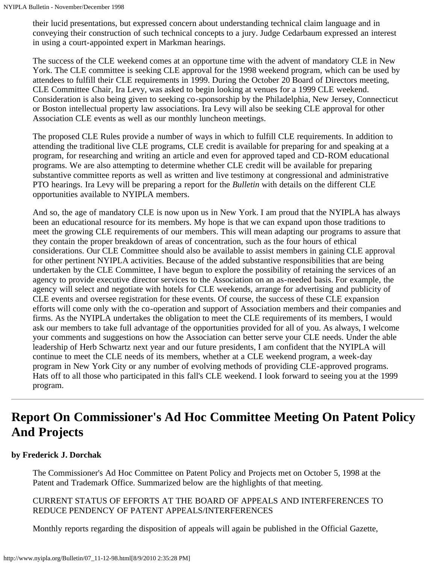their lucid presentations, but expressed concern about understanding technical claim language and in conveying their construction of such technical concepts to a jury. Judge Cedarbaum expressed an interest in using a court-appointed expert in Markman hearings.

The success of the CLE weekend comes at an opportune time with the advent of mandatory CLE in New York. The CLE committee is seeking CLE approval for the 1998 weekend program, which can be used by attendees to fulfill their CLE requirements in 1999. During the October 20 Board of Directors meeting, CLE Committee Chair, Ira Levy, was asked to begin looking at venues for a 1999 CLE weekend. Consideration is also being given to seeking co-sponsorship by the Philadelphia, New Jersey, Connecticut or Boston intellectual property law associations. Ira Levy will also be seeking CLE approval for other Association CLE events as well as our monthly luncheon meetings.

The proposed CLE Rules provide a number of ways in which to fulfill CLE requirements. In addition to attending the traditional live CLE programs, CLE credit is available for preparing for and speaking at a program, for researching and writing an article and even for approved taped and CD-ROM educational programs. We are also attempting to determine whether CLE credit will be available for preparing substantive committee reports as well as written and live testimony at congressional and administrative PTO hearings. Ira Levy will be preparing a report for the *Bulletin* with details on the different CLE opportunities available to NYIPLA members.

And so, the age of mandatory CLE is now upon us in New York. I am proud that the NYIPLA has always been an educational resource for its members. My hope is that we can expand upon those traditions to meet the growing CLE requirements of our members. This will mean adapting our programs to assure that they contain the proper breakdown of areas of concentration, such as the four hours of ethical considerations. Our CLE Committee should also be available to assist members in gaining CLE approval for other pertinent NYIPLA activities. Because of the added substantive responsibilities that are being undertaken by the CLE Committee, I have begun to explore the possibility of retaining the services of an agency to provide executive director services to the Association on an as-needed basis. For example, the agency will select and negotiate with hotels for CLE weekends, arrange for advertising and publicity of CLE events and oversee registration for these events. Of course, the success of these CLE expansion efforts will come only with the co-operation and support of Association members and their companies and firms. As the NYIPLA undertakes the obligation to meet the CLE requirements of its members, I would ask our members to take full advantage of the opportunities provided for all of you. As always, I welcome your comments and suggestions on how the Association can better serve your CLE needs. Under the able leadership of Herb Schwartz next year and our future presidents, I am confident that the NYIPLA will continue to meet the CLE needs of its members, whether at a CLE weekend program, a week-day program in New York City or any number of evolving methods of providing CLE-approved programs. Hats off to all those who participated in this fall's CLE weekend. I look forward to seeing you at the 1999 program.

# <span id="page-1-0"></span>**Report On Commissioner's Ad Hoc Committee Meeting On Patent Policy And Projects**

#### **by Frederick J. Dorchak**

The Commissioner's Ad Hoc Committee on Patent Policy and Projects met on October 5, 1998 at the Patent and Trademark Office. Summarized below are the highlights of that meeting.

#### CURRENT STATUS OF EFFORTS AT THE BOARD OF APPEALS AND INTERFERENCES TO REDUCE PENDENCY OF PATENT APPEALS/INTERFERENCES

Monthly reports regarding the disposition of appeals will again be published in the Official Gazette,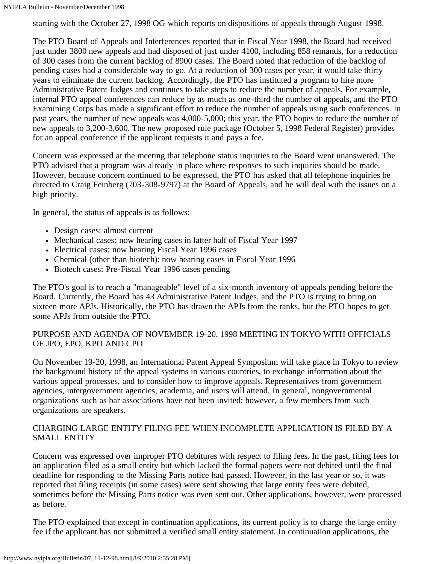starting with the October 27, 1998 OG which reports on dispositions of appeals through August 1998.

The PTO Board of Appeals and Interferences reported that in Fiscal Year 1998, the Board had received just under 3800 new appeals and had disposed of just under 4100, including 858 remands, for a reduction of 300 cases from the current backlog of 8900 cases. The Board noted that reduction of the backlog of pending cases had a considerable way to go. At a reduction of 300 cases per year, it would take thirty years to eliminate the current backlog. Accordingly, the PTO has instituted a program to hire more Administrative Patent Judges and continues to take steps to reduce the number of appeals. For example, internal PTO appeal conferences can reduce by as much as one-third the number of appeals, and the PTO Examining Corps has made a significant effort to reduce the number of appeals using such conferences. In past years, the number of new appeals was 4,000-5,000; this year, the PTO hopes to reduce the number of new appeals to 3,200-3,600. The new proposed rule package (October 5, 1998 Federal Register) provides for an appeal conference if the applicant requests it and pays a fee.

Concern was expressed at the meeting that telephone status inquiries to the Board went unanswered. The PTO advised that a program was already in place where responses to such inquiries should be made. However, because concern continued to be expressed, the PTO has asked that all telephone inquiries be directed to Craig Feinberg (703-308-9797) at the Board of Appeals, and he will deal with the issues on a high priority.

In general, the status of appeals is as follows:

- Design cases: almost current
- Mechanical cases: now hearing cases in latter half of Fiscal Year 1997
- Electrical cases: now hearing Fiscal Year 1996 cases
- Chemical (other than biotech): now hearing cases in Fiscal Year 1996
- Biotech cases: Pre-Fiscal Year 1996 cases pending

The PTO's goal is to reach a "manageable" level of a six-month inventory of appeals pending before the Board. Currently, the Board has 43 Administrative Patent Judges, and the PTO is trying to bring on sixteen more APJs. Historically, the PTO has drawn the APJs from the ranks, but the PTO hopes to get some APJs from outside the PTO.

#### PURPOSE AND AGENDA OF NOVEMBER 19-20, 1998 MEETING IN TOKYO WITH OFFICIALS OF JPO, EPO, KPO AND CPO

On November 19-20, 1998, an International Patent Appeal Symposium will take place in Tokyo to review the background history of the appeal systems in various countries, to exchange information about the various appeal processes, and to consider how to improve appeals. Representatives from government agencies, intergovernment agencies, academia, and users will attend. In general, nongovernmental organizations such as bar associations have not been invited; however, a few members from such organizations are speakers.

#### CHARGING LARGE ENTITY FILING FEE WHEN INCOMPLETE APPLICATION IS FILED BY A SMALL ENTITY

Concern was expressed over improper PTO debitures with respect to filing fees. In the past, filing fees for an application filed as a small entity but which lacked the formal papers were not debited until the final deadline for responding to the Missing Parts notice had passed. However, in the last year or so, it was reported that filing receipts (in some cases) were sent showing that large entity fees were debited, sometimes before the Missing Parts notice was even sent out. Other applications, however, were processed as before.

The PTO explained that except in continuation applications, its current policy is to charge the large entity fee if the applicant has not submitted a verified small entity statement. In continuation applications, the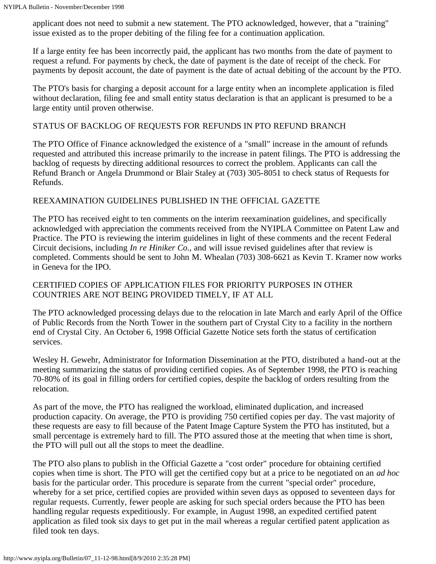applicant does not need to submit a new statement. The PTO acknowledged, however, that a "training" issue existed as to the proper debiting of the filing fee for a continuation application.

If a large entity fee has been incorrectly paid, the applicant has two months from the date of payment to request a refund. For payments by check, the date of payment is the date of receipt of the check. For payments by deposit account, the date of payment is the date of actual debiting of the account by the PTO.

The PTO's basis for charging a deposit account for a large entity when an incomplete application is filed without declaration, filing fee and small entity status declaration is that an applicant is presumed to be a large entity until proven otherwise.

#### STATUS OF BACKLOG OF REQUESTS FOR REFUNDS IN PTO REFUND BRANCH

The PTO Office of Finance acknowledged the existence of a "small" increase in the amount of refunds requested and attributed this increase primarily to the increase in patent filings. The PTO is addressing the backlog of requests by directing additional resources to correct the problem. Applicants can call the Refund Branch or Angela Drummond or Blair Staley at (703) 305-8051 to check status of Requests for Refunds.

#### REEXAMINATION GUIDELINES PUBLISHED IN THE OFFICIAL GAZETTE

The PTO has received eight to ten comments on the interim reexamination guidelines, and specifically acknowledged with appreciation the comments received from the NYIPLA Committee on Patent Law and Practice. The PTO is reviewing the interim guidelines in light of these comments and the recent Federal Circuit decisions, including *In re Hiniker Co.,* and will issue revised guidelines after that review is completed. Comments should be sent to John M. Whealan (703) 308-6621 as Kevin T. Kramer now works in Geneva for the IPO.

#### CERTIFIED COPIES OF APPLICATION FILES FOR PRIORITY PURPOSES IN OTHER COUNTRIES ARE NOT BEING PROVIDED TIMELY, IF AT ALL

The PTO acknowledged processing delays due to the relocation in late March and early April of the Office of Public Records from the North Tower in the southern part of Crystal City to a facility in the northern end of Crystal City. An October 6, 1998 Official Gazette Notice sets forth the status of certification services.

Wesley H. Gewehr, Administrator for Information Dissemination at the PTO, distributed a hand-out at the meeting summarizing the status of providing certified copies. As of September 1998, the PTO is reaching 70-80% of its goal in filling orders for certified copies, despite the backlog of orders resulting from the relocation.

As part of the move, the PTO has realigned the workload, eliminated duplication, and increased production capacity. On average, the PTO is providing 750 certified copies per day. The vast majority of these requests are easy to fill because of the Patent Image Capture System the PTO has instituted, but a small percentage is extremely hard to fill. The PTO assured those at the meeting that when time is short, the PTO will pull out all the stops to meet the deadline.

The PTO also plans to publish in the Official Gazette a "cost order" procedure for obtaining certified copies when time is short. The PTO will get the certified copy but at a price to be negotiated on an *ad hoc* basis for the particular order. This procedure is separate from the current "special order" procedure, whereby for a set price, certified copies are provided within seven days as opposed to seventeen days for regular requests. Currently, fewer people are asking for such special orders because the PTO has been handling regular requests expeditiously. For example, in August 1998, an expedited certified patent application as filed took six days to get put in the mail whereas a regular certified patent application as filed took ten days.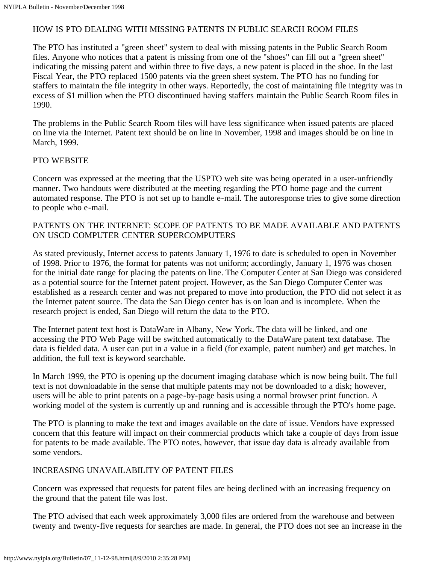#### HOW IS PTO DEALING WITH MISSING PATENTS IN PUBLIC SEARCH ROOM FILES

The PTO has instituted a "green sheet" system to deal with missing patents in the Public Search Room files. Anyone who notices that a patent is missing from one of the "shoes" can fill out a "green sheet" indicating the missing patent and within three to five days, a new patent is placed in the shoe. In the last Fiscal Year, the PTO replaced 1500 patents via the green sheet system. The PTO has no funding for staffers to maintain the file integrity in other ways. Reportedly, the cost of maintaining file integrity was in excess of \$1 million when the PTO discontinued having staffers maintain the Public Search Room files in 1990.

The problems in the Public Search Room files will have less significance when issued patents are placed on line via the Internet. Patent text should be on line in November, 1998 and images should be on line in March, 1999.

#### PTO WEBSITE

Concern was expressed at the meeting that the USPTO web site was being operated in a user-unfriendly manner. Two handouts were distributed at the meeting regarding the PTO home page and the current automated response. The PTO is not set up to handle e-mail. The autoresponse tries to give some direction to people who e-mail.

#### PATENTS ON THE INTERNET: SCOPE OF PATENTS TO BE MADE AVAILABLE AND PATENTS ON USCD COMPUTER CENTER SUPERCOMPUTERS

As stated previously, Internet access to patents January 1, 1976 to date is scheduled to open in November of 1998. Prior to 1976, the format for patents was not uniform; accordingly, January 1, 1976 was chosen for the initial date range for placing the patents on line. The Computer Center at San Diego was considered as a potential source for the Internet patent project. However, as the San Diego Computer Center was established as a research center and was not prepared to move into production, the PTO did not select it as the Internet patent source. The data the San Diego center has is on loan and is incomplete. When the research project is ended, San Diego will return the data to the PTO.

The Internet patent text host is DataWare in Albany, New York. The data will be linked, and one accessing the PTO Web Page will be switched automatically to the DataWare patent text database. The data is fielded data. A user can put in a value in a field (for example, patent number) and get matches. In addition, the full text is keyword searchable.

In March 1999, the PTO is opening up the document imaging database which is now being built. The full text is not downloadable in the sense that multiple patents may not be downloaded to a disk; however, users will be able to print patents on a page-by-page basis using a normal browser print function. A working model of the system is currently up and running and is accessible through the PTO's home page.

The PTO is planning to make the text and images available on the date of issue. Vendors have expressed concern that this feature will impact on their commercial products which take a couple of days from issue for patents to be made available. The PTO notes, however, that issue day data is already available from some vendors.

#### INCREASING UNAVAILABILITY OF PATENT FILES

Concern was expressed that requests for patent files are being declined with an increasing frequency on the ground that the patent file was lost.

The PTO advised that each week approximately 3,000 files are ordered from the warehouse and between twenty and twenty-five requests for searches are made. In general, the PTO does not see an increase in the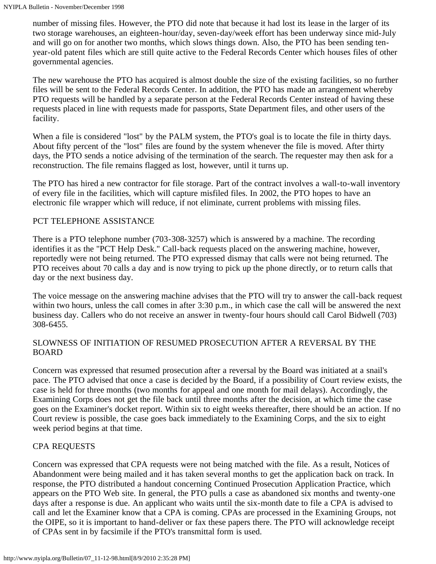number of missing files. However, the PTO did note that because it had lost its lease in the larger of its two storage warehouses, an eighteen-hour/day, seven-day/week effort has been underway since mid-July and will go on for another two months, which slows things down. Also, the PTO has been sending tenyear-old patent files which are still quite active to the Federal Records Center which houses files of other governmental agencies.

The new warehouse the PTO has acquired is almost double the size of the existing facilities, so no further files will be sent to the Federal Records Center. In addition, the PTO has made an arrangement whereby PTO requests will be handled by a separate person at the Federal Records Center instead of having these requests placed in line with requests made for passports, State Department files, and other users of the facility.

When a file is considered "lost" by the PALM system, the PTO's goal is to locate the file in thirty days. About fifty percent of the "lost" files are found by the system whenever the file is moved. After thirty days, the PTO sends a notice advising of the termination of the search. The requester may then ask for a reconstruction. The file remains flagged as lost, however, until it turns up.

The PTO has hired a new contractor for file storage. Part of the contract involves a wall-to-wall inventory of every file in the facilities, which will capture misfiled files. In 2002, the PTO hopes to have an electronic file wrapper which will reduce, if not eliminate, current problems with missing files.

#### PCT TELEPHONE ASSISTANCE

There is a PTO telephone number (703-308-3257) which is answered by a machine. The recording identifies it as the "PCT Help Desk." Call-back requests placed on the answering machine, however, reportedly were not being returned. The PTO expressed dismay that calls were not being returned. The PTO receives about 70 calls a day and is now trying to pick up the phone directly, or to return calls that day or the next business day.

The voice message on the answering machine advises that the PTO will try to answer the call-back request within two hours, unless the call comes in after 3:30 p.m., in which case the call will be answered the next business day. Callers who do not receive an answer in twenty-four hours should call Carol Bidwell (703) 308-6455.

#### SLOWNESS OF INITIATION OF RESUMED PROSECUTION AFTER A REVERSAL BY THE BOARD

Concern was expressed that resumed prosecution after a reversal by the Board was initiated at a snail's pace. The PTO advised that once a case is decided by the Board, if a possibility of Court review exists, the case is held for three months (two months for appeal and one month for mail delays). Accordingly, the Examining Corps does not get the file back until three months after the decision, at which time the case goes on the Examiner's docket report. Within six to eight weeks thereafter, there should be an action. If no Court review is possible, the case goes back immediately to the Examining Corps, and the six to eight week period begins at that time.

#### CPA REQUESTS

Concern was expressed that CPA requests were not being matched with the file. As a result, Notices of Abandonment were being mailed and it has taken several months to get the application back on track. In response, the PTO distributed a handout concerning Continued Prosecution Application Practice, which appears on the PTO Web site. In general, the PTO pulls a case as abandoned six months and twenty-one days after a response is due. An applicant who waits until the six-month date to file a CPA is advised to call and let the Examiner know that a CPA is coming. CPAs are processed in the Examining Groups, not the OIPE, so it is important to hand-deliver or fax these papers there. The PTO will acknowledge receipt of CPAs sent in by facsimile if the PTO's transmittal form is used.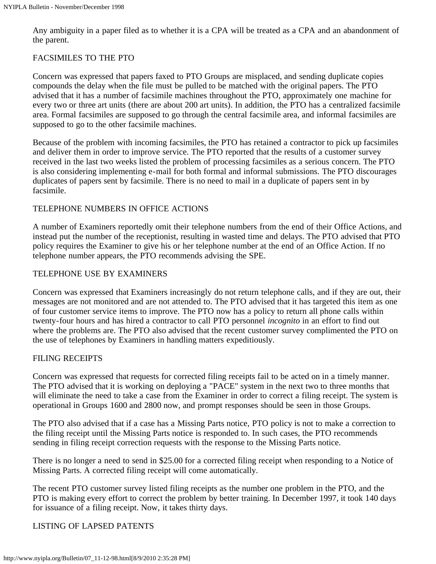Any ambiguity in a paper filed as to whether it is a CPA will be treated as a CPA and an abandonment of the parent.

#### FACSIMILES TO THE PTO

Concern was expressed that papers faxed to PTO Groups are misplaced, and sending duplicate copies compounds the delay when the file must be pulled to be matched with the original papers. The PTO advised that it has a number of facsimile machines throughout the PTO, approximately one machine for every two or three art units (there are about 200 art units). In addition, the PTO has a centralized facsimile area. Formal facsimiles are supposed to go through the central facsimile area, and informal facsimiles are supposed to go to the other facsimile machines.

Because of the problem with incoming facsimiles, the PTO has retained a contractor to pick up facsimiles and deliver them in order to improve service. The PTO reported that the results of a customer survey received in the last two weeks listed the problem of processing facsimiles as a serious concern. The PTO is also considering implementing e-mail for both formal and informal submissions. The PTO discourages duplicates of papers sent by facsimile. There is no need to mail in a duplicate of papers sent in by facsimile.

#### TELEPHONE NUMBERS IN OFFICE ACTIONS

A number of Examiners reportedly omit their telephone numbers from the end of their Office Actions, and instead put the number of the receptionist, resulting in wasted time and delays. The PTO advised that PTO policy requires the Examiner to give his or her telephone number at the end of an Office Action. If no telephone number appears, the PTO recommends advising the SPE.

#### TELEPHONE USE BY EXAMINERS

Concern was expressed that Examiners increasingly do not return telephone calls, and if they are out, their messages are not monitored and are not attended to. The PTO advised that it has targeted this item as one of four customer service items to improve. The PTO now has a policy to return all phone calls within twenty-four hours and has hired a contractor to call PTO personnel *incognito* in an effort to find out where the problems are. The PTO also advised that the recent customer survey complimented the PTO on the use of telephones by Examiners in handling matters expeditiously.

#### FILING RECEIPTS

Concern was expressed that requests for corrected filing receipts fail to be acted on in a timely manner. The PTO advised that it is working on deploying a "PACE" system in the next two to three months that will eliminate the need to take a case from the Examiner in order to correct a filing receipt. The system is operational in Groups 1600 and 2800 now, and prompt responses should be seen in those Groups.

The PTO also advised that if a case has a Missing Parts notice, PTO policy is not to make a correction to the filing receipt until the Missing Parts notice is responded to. In such cases, the PTO recommends sending in filing receipt correction requests with the response to the Missing Parts notice.

There is no longer a need to send in \$25.00 for a corrected filing receipt when responding to a Notice of Missing Parts. A corrected filing receipt will come automatically.

The recent PTO customer survey listed filing receipts as the number one problem in the PTO, and the PTO is making every effort to correct the problem by better training. In December 1997, it took 140 days for issuance of a filing receipt. Now, it takes thirty days.

#### LISTING OF LAPSED PATENTS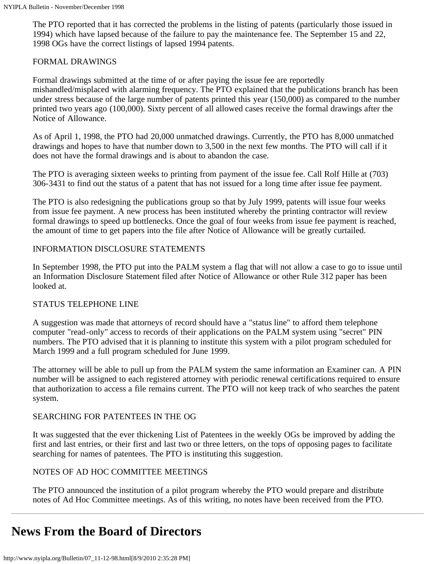The PTO reported that it has corrected the problems in the listing of patents (particularly those issued in 1994) which have lapsed because of the failure to pay the maintenance fee. The September 15 and 22, 1998 OGs have the correct listings of lapsed 1994 patents.

#### FORMAL DRAWINGS

Formal drawings submitted at the time of or after paying the issue fee are reportedly mishandled/misplaced with alarming frequency. The PTO explained that the publications branch has been under stress because of the large number of patents printed this year (150,000) as compared to the number printed two years ago (100,000). Sixty percent of all allowed cases receive the formal drawings after the Notice of Allowance.

As of April 1, 1998, the PTO had 20,000 unmatched drawings. Currently, the PTO has 8,000 unmatched drawings and hopes to have that number down to 3,500 in the next few months. The PTO will call if it does not have the formal drawings and is about to abandon the case.

The PTO is averaging sixteen weeks to printing from payment of the issue fee. Call Rolf Hille at (703) 306-3431 to find out the status of a patent that has not issued for a long time after issue fee payment.

The PTO is also redesigning the publications group so that by July 1999, patents will issue four weeks from issue fee payment. A new process has been instituted whereby the printing contractor will review formal drawings to speed up bottlenecks. Once the goal of four weeks from issue fee payment is reached, the amount of time to get papers into the file after Notice of Allowance will be greatly curtailed.

#### INFORMATION DISCLOSURE STATEMENTS

In September 1998, the PTO put into the PALM system a flag that will not allow a case to go to issue until an Information Disclosure Statement filed after Notice of Allowance or other Rule 312 paper has been looked at.

#### STATUS TELEPHONE LINE

A suggestion was made that attorneys of record should have a "status line" to afford them telephone computer "read-only" access to records of their applications on the PALM system using "secret" PIN numbers. The PTO advised that it is planning to institute this system with a pilot program scheduled for March 1999 and a full program scheduled for June 1999.

The attorney will be able to pull up from the PALM system the same information an Examiner can. A PIN number will be assigned to each registered attorney with periodic renewal certifications required to ensure that authorization to access a file remains current. The PTO will not keep track of who searches the patent system.

#### SEARCHING FOR PATENTEES IN THE OG

It was suggested that the ever thickening List of Patentees in the weekly OGs be improved by adding the first and last entries, or their first and last two or three letters, on the tops of opposing pages to facilitate searching for names of patentees. The PTO is instituting this suggestion.

#### NOTES OF AD HOC COMMITTEE MEETINGS

The PTO announced the institution of a pilot program whereby the PTO would prepare and distribute notes of Ad Hoc Committee meetings. As of this writing, no notes have been received from the PTO.

# <span id="page-7-0"></span>**News From the Board of Directors**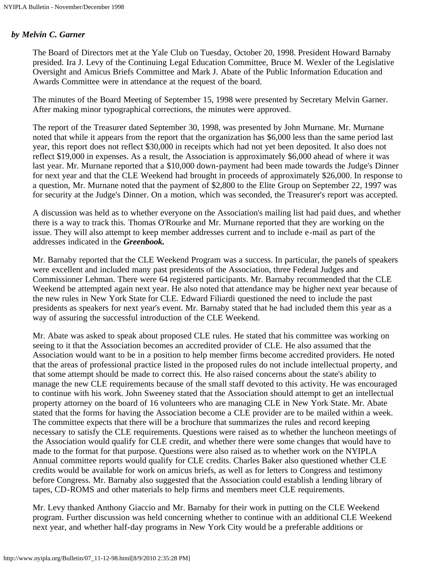#### *by Melvin C. Garner*

The Board of Directors met at the Yale Club on Tuesday, October 20, 1998. President Howard Barnaby presided. Ira J. Levy of the Continuing Legal Education Committee, Bruce M. Wexler of the Legislative Oversight and Amicus Briefs Committee and Mark J. Abate of the Public Information Education and Awards Committee were in attendance at the request of the board.

The minutes of the Board Meeting of September 15, 1998 were presented by Secretary Melvin Garner. After making minor typographical corrections, the minutes were approved.

The report of the Treasurer dated September 30, 1998, was presented by John Murnane. Mr. Murnane noted that while it appears from the report that the organization has \$6,000 less than the same period last year, this report does not reflect \$30,000 in receipts which had not yet been deposited. It also does not reflect \$19,000 in expenses. As a result, the Association is approximately \$6,000 ahead of where it was last year. Mr. Murnane reported that a \$10,000 down-payment had been made towards the Judge's Dinner for next year and that the CLE Weekend had brought in proceeds of approximately \$26,000. In response to a question, Mr. Murnane noted that the payment of \$2,800 to the Elite Group on September 22, 1997 was for security at the Judge's Dinner. On a motion, which was seconded, the Treasurer's report was accepted.

A discussion was held as to whether everyone on the Association's mailing list had paid dues, and whether there is a way to track this. Thomas O'Rourke and Mr. Murnane reported that they are working on the issue. They will also attempt to keep member addresses current and to include e-mail as part of the addresses indicated in the *Greenbook.*

Mr. Barnaby reported that the CLE Weekend Program was a success. In particular, the panels of speakers were excellent and included many past presidents of the Association, three Federal Judges and Commissioner Lehman. There were 64 registered participants. Mr. Barnaby recommended that the CLE Weekend be attempted again next year. He also noted that attendance may be higher next year because of the new rules in New York State for CLE. Edward Filiardi questioned the need to include the past presidents as speakers for next year's event. Mr. Barnaby stated that he had included them this year as a way of assuring the successful introduction of the CLE Weekend.

Mr. Abate was asked to speak about proposed CLE rules. He stated that his committee was working on seeing to it that the Association becomes an accredited provider of CLE. He also assumed that the Association would want to be in a position to help member firms become accredited providers. He noted that the areas of professional practice listed in the proposed rules do not include intellectual property, and that some attempt should be made to correct this. He also raised concerns about the state's ability to manage the new CLE requirements because of the small staff devoted to this activity. He was encouraged to continue with his work. John Sweeney stated that the Association should attempt to get an intellectual property attorney on the board of 16 volunteers who are managing CLE in New York State. Mr. Abate stated that the forms for having the Association become a CLE provider are to be mailed within a week. The committee expects that there will be a brochure that summarizes the rules and record keeping necessary to satisfy the CLE requirements. Questions were raised as to whether the luncheon meetings of the Association would qualify for CLE credit, and whether there were some changes that would have to made to the format for that purpose. Questions were also raised as to whether work on the NYIPLA Annual committee reports would qualify for CLE credits. Charles Baker also questioned whether CLE credits would be available for work on amicus briefs, as well as for letters to Congress and testimony before Congress. Mr. Barnaby also suggested that the Association could establish a lending library of tapes, CD-ROMS and other materials to help firms and members meet CLE requirements.

Mr. Levy thanked Anthony Giaccio and Mr. Barnaby for their work in putting on the CLE Weekend program. Further discussion was held concerning whether to continue with an additional CLE Weekend next year, and whether half-day programs in New York City would be a preferable additions or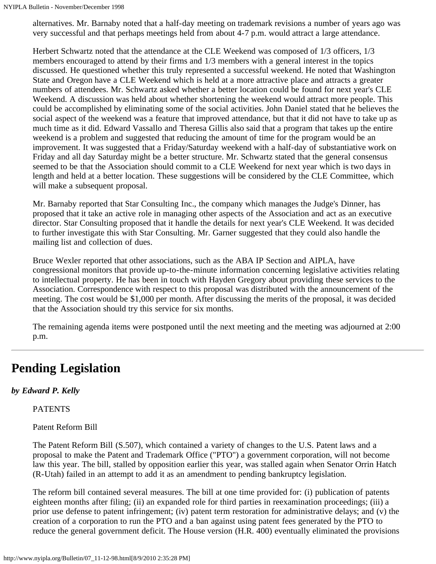alternatives. Mr. Barnaby noted that a half-day meeting on trademark revisions a number of years ago was very successful and that perhaps meetings held from about 4-7 p.m. would attract a large attendance.

Herbert Schwartz noted that the attendance at the CLE Weekend was composed of 1/3 officers, 1/3 members encouraged to attend by their firms and 1/3 members with a general interest in the topics discussed. He questioned whether this truly represented a successful weekend. He noted that Washington State and Oregon have a CLE Weekend which is held at a more attractive place and attracts a greater numbers of attendees. Mr. Schwartz asked whether a better location could be found for next year's CLE Weekend. A discussion was held about whether shortening the weekend would attract more people. This could be accomplished by eliminating some of the social activities. John Daniel stated that he believes the social aspect of the weekend was a feature that improved attendance, but that it did not have to take up as much time as it did. Edward Vassallo and Theresa Gillis also said that a program that takes up the entire weekend is a problem and suggested that reducing the amount of time for the program would be an improvement. It was suggested that a Friday/Saturday weekend with a half-day of substantiative work on Friday and all day Saturday might be a better structure. Mr. Schwartz stated that the general consensus seemed to be that the Association should commit to a CLE Weekend for next year which is two days in length and held at a better location. These suggestions will be considered by the CLE Committee, which will make a subsequent proposal.

Mr. Barnaby reported that Star Consulting Inc., the company which manages the Judge's Dinner, has proposed that it take an active role in managing other aspects of the Association and act as an executive director. Star Consulting proposed that it handle the details for next year's CLE Weekend. It was decided to further investigate this with Star Consulting. Mr. Garner suggested that they could also handle the mailing list and collection of dues.

Bruce Wexler reported that other associations, such as the ABA IP Section and AIPLA, have congressional monitors that provide up-to-the-minute information concerning legislative activities relating to intellectual property. He has been in touch with Hayden Gregory about providing these services to the Association. Correspondence with respect to this proposal was distributed with the announcement of the meeting. The cost would be \$1,000 per month. After discussing the merits of the proposal, it was decided that the Association should try this service for six months.

The remaining agenda items were postponed until the next meeting and the meeting was adjourned at 2:00 p.m.

# <span id="page-9-0"></span>**Pending Legislation**

### *by Edward P. Kelly*

PATENTS

Patent Reform Bill

The Patent Reform Bill (S.507), which contained a variety of changes to the U.S. Patent laws and a proposal to make the Patent and Trademark Office ("PTO") a government corporation, will not become law this year. The bill, stalled by opposition earlier this year, was stalled again when Senator Orrin Hatch (R-Utah) failed in an attempt to add it as an amendment to pending bankruptcy legislation.

The reform bill contained several measures. The bill at one time provided for: (i) publication of patents eighteen months after filing; (ii) an expanded role for third parties in reexamination proceedings; (iii) a prior use defense to patent infringement; (iv) patent term restoration for administrative delays; and (v) the creation of a corporation to run the PTO and a ban against using patent fees generated by the PTO to reduce the general government deficit. The House version (H.R. 400) eventually eliminated the provisions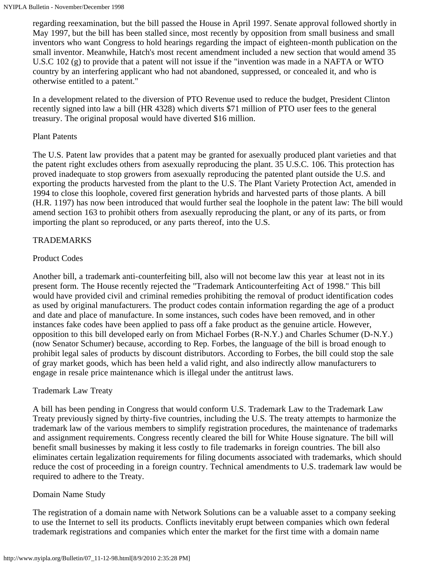regarding reexamination, but the bill passed the House in April 1997. Senate approval followed shortly in May 1997, but the bill has been stalled since, most recently by opposition from small business and small inventors who want Congress to hold hearings regarding the impact of eighteen-month publication on the small inventor. Meanwhile, Hatch's most recent amendment included a new section that would amend 35 U.S.C 102 (g) to provide that a patent will not issue if the "invention was made in a NAFTA or WTO country by an interfering applicant who had not abandoned, suppressed, or concealed it, and who is otherwise entitled to a patent."

In a development related to the diversion of PTO Revenue used to reduce the budget, President Clinton recently signed into law a bill (HR 4328) which diverts \$71 million of PTO user fees to the general treasury. The original proposal would have diverted \$16 million.

#### Plant Patents

The U.S. Patent law provides that a patent may be granted for asexually produced plant varieties and that the patent right excludes others from asexually reproducing the plant. 35 U.S.C. 106. This protection has proved inadequate to stop growers from asexually reproducing the patented plant outside the U.S. and exporting the products harvested from the plant to the U.S. The Plant Variety Protection Act, amended in 1994 to close this loophole, covered first generation hybrids and harvested parts of those plants. A bill (H.R. 1197) has now been introduced that would further seal the loophole in the patent law: The bill would amend section 163 to prohibit others from asexually reproducing the plant, or any of its parts, or from importing the plant so reproduced, or any parts thereof, into the U.S.

#### TRADEMARKS

#### Product Codes

Another bill, a trademark anti-counterfeiting bill, also will not become law this year at least not in its present form. The House recently rejected the "Trademark Anticounterfeiting Act of 1998." This bill would have provided civil and criminal remedies prohibiting the removal of product identification codes as used by original manufacturers. The product codes contain information regarding the age of a product and date and place of manufacture. In some instances, such codes have been removed, and in other instances fake codes have been applied to pass off a fake product as the genuine article. However, opposition to this bill developed early on from Michael Forbes (R-N.Y.) and Charles Schumer (D-N.Y.) (now Senator Schumer) because, according to Rep. Forbes, the language of the bill is broad enough to prohibit legal sales of products by discount distributors. According to Forbes, the bill could stop the sale of gray market goods, which has been held a valid right, and also indirectly allow manufacturers to engage in resale price maintenance which is illegal under the antitrust laws.

#### Trademark Law Treaty

A bill has been pending in Congress that would conform U.S. Trademark Law to the Trademark Law Treaty previously signed by thirty-five countries, including the U.S. The treaty attempts to harmonize the trademark law of the various members to simplify registration procedures, the maintenance of trademarks and assignment requirements. Congress recently cleared the bill for White House signature. The bill will benefit small businesses by making it less costly to file trademarks in foreign countries. The bill also eliminates certain legalization requirements for filing documents associated with trademarks, which should reduce the cost of proceeding in a foreign country. Technical amendments to U.S. trademark law would be required to adhere to the Treaty.

#### Domain Name Study

The registration of a domain name with Network Solutions can be a valuable asset to a company seeking to use the Internet to sell its products. Conflicts inevitably erupt between companies which own federal trademark registrations and companies which enter the market for the first time with a domain name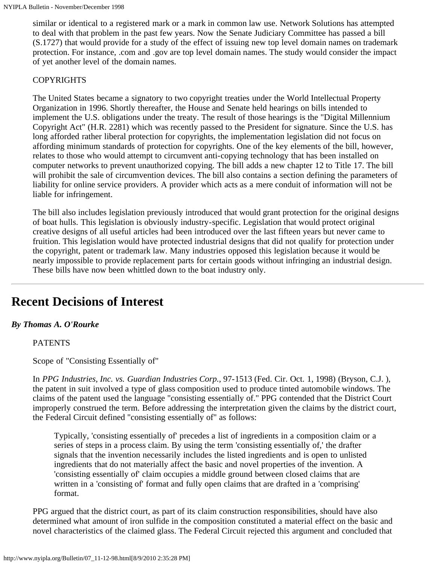similar or identical to a registered mark or a mark in common law use. Network Solutions has attempted to deal with that problem in the past few years. Now the Senate Judiciary Committee has passed a bill (S.1727) that would provide for a study of the effect of issuing new top level domain names on trademark protection. For instance, .com and .gov are top level domain names. The study would consider the impact of yet another level of the domain names.

#### COPYRIGHTS

The United States became a signatory to two copyright treaties under the World Intellectual Property Organization in 1996. Shortly thereafter, the House and Senate held hearings on bills intended to implement the U.S. obligations under the treaty. The result of those hearings is the "Digital Millennium Copyright Act" (H.R. 2281) which was recently passed to the President for signature. Since the U.S. has long afforded rather liberal protection for copyrights, the implementation legislation did not focus on affording minimum standards of protection for copyrights. One of the key elements of the bill, however, relates to those who would attempt to circumvent anti-copying technology that has been installed on computer networks to prevent unauthorized copying. The bill adds a new chapter 12 to Title 17. The bill will prohibit the sale of circumvention devices. The bill also contains a section defining the parameters of liability for online service providers. A provider which acts as a mere conduit of information will not be liable for infringement.

The bill also includes legislation previously introduced that would grant protection for the original designs of boat hulls. This legislation is obviously industry-specific. Legislation that would protect original creative designs of all useful articles had been introduced over the last fifteen years but never came to fruition. This legislation would have protected industrial designs that did not qualify for protection under the copyright, patent or trademark law. Many industries opposed this legislation because it would be nearly impossible to provide replacement parts for certain goods without infringing an industrial design. These bills have now been whittled down to the boat industry only.

### <span id="page-11-0"></span>**Recent Decisions of Interest**

#### *By Thomas A. O'Rourke*

#### PATENTS

Scope of "Consisting Essentially of"

In *PPG Industries, Inc. vs. Guardian Industries Corp.,* 97-1513 (Fed. Cir. Oct. 1, 1998) (Bryson, C.J. ), the patent in suit involved a type of glass composition used to produce tinted automobile windows. The claims of the patent used the language "consisting essentially of." PPG contended that the District Court improperly construed the term. Before addressing the interpretation given the claims by the district court, the Federal Circuit defined "consisting essentially of" as follows:

Typically, 'consisting essentially of' precedes a list of ingredients in a composition claim or a series of steps in a process claim. By using the term 'consisting essentially of,' the drafter signals that the invention necessarily includes the listed ingredients and is open to unlisted ingredients that do not materially affect the basic and novel properties of the invention. A 'consisting essentially of' claim occupies a middle ground between closed claims that are written in a 'consisting of' format and fully open claims that are drafted in a 'comprising' format.

PPG argued that the district court, as part of its claim construction responsibilities, should have also determined what amount of iron sulfide in the composition constituted a material effect on the basic and novel characteristics of the claimed glass. The Federal Circuit rejected this argument and concluded that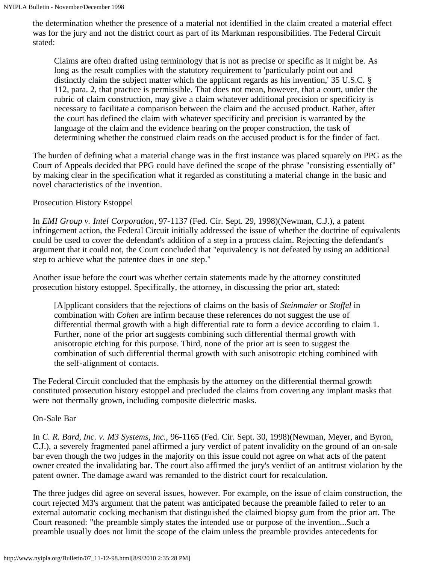the determination whether the presence of a material not identified in the claim created a material effect was for the jury and not the district court as part of its Markman responsibilities. The Federal Circuit stated:

Claims are often drafted using terminology that is not as precise or specific as it might be. As long as the result complies with the statutory requirement to 'particularly point out and distinctly claim the subject matter which the applicant regards as his invention,' 35 U.S.C. § 112, para. 2, that practice is permissible. That does not mean, however, that a court, under the rubric of claim construction, may give a claim whatever additional precision or specificity is necessary to facilitate a comparison between the claim and the accused product. Rather, after the court has defined the claim with whatever specificity and precision is warranted by the language of the claim and the evidence bearing on the proper construction, the task of determining whether the construed claim reads on the accused product is for the finder of fact.

The burden of defining what a material change was in the first instance was placed squarely on PPG as the Court of Appeals decided that PPG could have defined the scope of the phrase "consisting essentially of" by making clear in the specification what it regarded as constituting a material change in the basic and novel characteristics of the invention.

#### Prosecution History Estoppel

In *EMI Group v. Intel Corporation*, 97-1137 (Fed. Cir. Sept. 29, 1998)(Newman, C.J.), a patent infringement action, the Federal Circuit initially addressed the issue of whether the doctrine of equivalents could be used to cover the defendant's addition of a step in a process claim. Rejecting the defendant's argument that it could not, the Court concluded that "equivalency is not defeated by using an additional step to achieve what the patentee does in one step."

Another issue before the court was whether certain statements made by the attorney constituted prosecution history estoppel. Specifically, the attorney, in discussing the prior art, stated:

[A]pplicant considers that the rejections of claims on the basis of *Steinmaier* or *Stoffel* in combination with *Cohen* are infirm because these references do not suggest the use of differential thermal growth with a high differential rate to form a device according to claim 1. Further, none of the prior art suggests combining such differential thermal growth with anisotropic etching for this purpose. Third, none of the prior art is seen to suggest the combination of such differential thermal growth with such anisotropic etching combined with the self-alignment of contacts.

The Federal Circuit concluded that the emphasis by the attorney on the differential thermal growth constituted prosecution history estoppel and precluded the claims from covering any implant masks that were not thermally grown, including composite dielectric masks.

#### On-Sale Bar

In *C. R. Bard, Inc. v. M3 Systems, Inc.,* 96-1165 (Fed. Cir. Sept. 30, 1998)(Newman, Meyer, and Byron, C.J.), a severely fragmented panel affirmed a jury verdict of patent invalidity on the ground of an on-sale bar even though the two judges in the majority on this issue could not agree on what acts of the patent owner created the invalidating bar. The court also affirmed the jury's verdict of an antitrust violation by the patent owner. The damage award was remanded to the district court for recalculation.

The three judges did agree on several issues, however. For example, on the issue of claim construction, the court rejected M3's argument that the patent was anticipated because the preamble failed to refer to an external automatic cocking mechanism that distinguished the claimed biopsy gum from the prior art. The Court reasoned: "the preamble simply states the intended use or purpose of the invention...Such a preamble usually does not limit the scope of the claim unless the preamble provides antecedents for